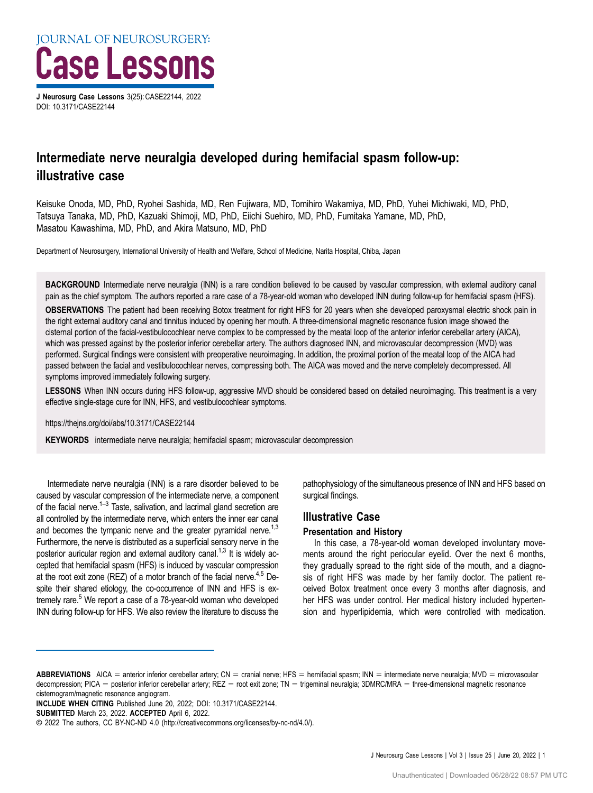J Neurosurg Case Lessons 3(25): CASE22144, 2022 DOI: [10.3171/CASE22144](https://doi.org/10.3171/CASE22144)

# Intermediate nerve neuralgia developed during hemifacial spasm follow-up: illustrative case

Keisuke Onoda, MD, PhD, Ryohei Sashida, MD, Ren Fujiwara, MD, Tomihiro Wakamiya, MD, PhD, Yuhei Michiwaki, MD, PhD, Tatsuya Tanaka, MD, PhD, Kazuaki Shimoji, MD, PhD, Eiichi Suehiro, MD, PhD, Fumitaka Yamane, MD, PhD, Masatou Kawashima, MD, PhD, and Akira Matsuno, MD, PhD

Department of Neurosurgery, International University of Health and Welfare, School of Medicine, Narita Hospital, Chiba, Japan

BACKGROUND Intermediate nerve neuralgia (INN) is a rare condition believed to be caused by vascular compression, with external auditory canal pain as the chief symptom. The authors reported a rare case of a 78-year-old woman who developed INN during follow-up for hemifacial spasm (HFS).

OBSERVATIONS The patient had been receiving Botox treatment for right HFS for 20 years when she developed paroxysmal electric shock pain in the right external auditory canal and tinnitus induced by opening her mouth. A three-dimensional magnetic resonance fusion image showed the cisternal portion of the facial-vestibulocochlear nerve complex to be compressed by the meatal loop of the anterior inferior cerebellar artery (AICA), which was pressed against by the posterior inferior cerebellar artery. The authors diagnosed INN, and microvascular decompression (MVD) was performed. Surgical findings were consistent with preoperative neuroimaging. In addition, the proximal portion of the meatal loop of the AICA had passed between the facial and vestibulocochlear nerves, compressing both. The AICA was moved and the nerve completely decompressed. All symptoms improved immediately following surgery.

LESSONS When INN occurs during HFS follow-up, aggressive MVD should be considered based on detailed neuroimaging. This treatment is a very effective single-stage cure for INN, HFS, and vestibulocochlear symptoms.

https://thejns.org/doi/abs/10.3171/CASE22144

KEYWORDS intermediate nerve neuralgia; hemifacial spasm; microvascular decompression

Intermediate nerve neuralgia (INN) is a rare disorder believed to be caused by vascular compression of the intermediate nerve, a component of the facial nerve.<sup> $1-3$  $1-3$ </sup> Taste, salivation, and lacrimal gland secretion are all controlled by the intermediate nerve, which enters the inner ear canal and becomes the tympanic nerve and the greater pyramidal nerve.<sup>1,[3](#page-2-0)</sup> Furthermore, the nerve is distributed as a superficial sensory nerve in the posterior auricular region and external auditory canal.<sup>1,3</sup> It is widely accepted that hemifacial spasm (HFS) is induced by vascular compression at the root exit zone (REZ) of a motor branch of the facial nerve.<sup>[4,5](#page-2-0)</sup> Despite their shared etiology, the co-occurrence of INN and HFS is ex-tremely rare.<sup>[5](#page-2-0)</sup> We report a case of a 78-year-old woman who developed INN during follow-up for HFS. We also review the literature to discuss the

pathophysiology of the simultaneous presence of INN and HFS based on surgical findings.

# Illustrative Case

#### Presentation and History

In this case, a 78-year-old woman developed involuntary movements around the right periocular eyelid. Over the next 6 months, they gradually spread to the right side of the mouth, and a diagnosis of right HFS was made by her family doctor. The patient received Botox treatment once every 3 months after diagnosis, and her HFS was under control. Her medical history included hypertension and hyperlipidemia, which were controlled with medication.

ABBREVIATIONS AICA = anterior inferior cerebellar artery; CN = cranial nerve; HFS = hemifacial spasm; INN = intermediate nerve neuralgia; MVD = microvascular decompression; PICA = posterior inferior cerebellar artery; REZ = root exit zone; TN = trigeminal neuralgia; 3DMRC/MRA = three-dimensional magnetic resonance cisternogram/magnetic resonance angiogram.

INCLUDE WHEN CITING Published June 20, 2022; DOI: 10.3171/CASE22144.

SUBMITTED March 23, 2022. ACCEPTED April 6, 2022.

<sup>©</sup> 2022 The authors, CC BY-NC-ND 4.0 (http://creativecommons.org/licenses/by-nc-nd/4.0/).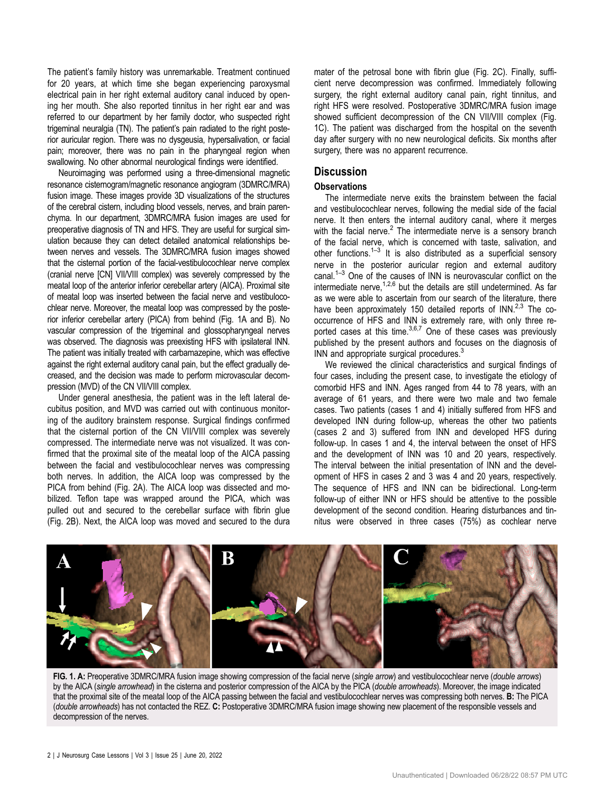The patient's family history was unremarkable. Treatment continued for 20 years, at which time she began experiencing paroxysmal electrical pain in her right external auditory canal induced by opening her mouth. She also reported tinnitus in her right ear and was referred to our department by her family doctor, who suspected right trigeminal neuralgia (TN). The patient's pain radiated to the right posterior auricular region. There was no dysgeusia, hypersalivation, or facial pain; moreover, there was no pain in the pharyngeal region when swallowing. No other abnormal neurological findings were identified.

Neuroimaging was performed using a three-dimensional magnetic resonance cisternogram/magnetic resonance angiogram (3DMRC/MRA) fusion image. These images provide 3D visualizations of the structures of the cerebral cistern, including blood vessels, nerves, and brain parenchyma. In our department, 3DMRC/MRA fusion images are used for preoperative diagnosis of TN and HFS. They are useful for surgical simulation because they can detect detailed anatomical relationships between nerves and vessels. The 3DMRC/MRA fusion images showed that the cisternal portion of the facial-vestibulocochlear nerve complex (cranial nerve [CN] VII/VIII complex) was severely compressed by the meatal loop of the anterior inferior cerebellar artery (AICA). Proximal site of meatal loop was inserted between the facial nerve and vestibulocochlear nerve. Moreover, the meatal loop was compressed by the posterior inferior cerebellar artery (PICA) from behind (Fig. 1A and B). No vascular compression of the trigeminal and glossopharyngeal nerves was observed. The diagnosis was preexisting HFS with ipsilateral INN. The patient was initially treated with carbamazepine, which was effective against the right external auditory canal pain, but the effect gradually decreased, and the decision was made to perform microvascular decompression (MVD) of the CN VII/VIII complex.

Under general anesthesia, the patient was in the left lateral decubitus position, and MVD was carried out with continuous monitoring of the auditory brainstem response. Surgical findings confirmed that the cisternal portion of the CN VII/VIII complex was severely compressed. The intermediate nerve was not visualized. It was confirmed that the proximal site of the meatal loop of the AICA passing between the facial and vestibulocochlear nerves was compressing both nerves. In addition, the AICA loop was compressed by the PICA from behind [\(Fig. 2A\)](#page-2-0). The AICA loop was dissected and mobilized. Teflon tape was wrapped around the PICA, which was pulled out and secured to the cerebellar surface with fibrin glue [\(Fig. 2B\)](#page-2-0). Next, the AICA loop was moved and secured to the dura

mater of the petrosal bone with fibrin glue ([Fig. 2C](#page-2-0)). Finally, sufficient nerve decompression was confirmed. Immediately following surgery, the right external auditory canal pain, right tinnitus, and right HFS were resolved. Postoperative 3DMRC/MRA fusion image showed sufficient decompression of the CN VII/VIII complex (Fig. 1C). The patient was discharged from the hospital on the seventh day after surgery with no new neurological deficits. Six months after surgery, there was no apparent recurrence.

## **Discussion**

### **Observations**

The intermediate nerve exits the brainstem between the facial and vestibulocochlear nerves, following the medial side of the facial nerve. It then enters the internal auditory canal, where it merges with the facial nerve.<sup>[2](#page-2-0)</sup> The intermediate nerve is a sensory branch of the facial nerve, which is concerned with taste, salivation, and other functions. $1-3$  $1-3$  $1-3$  It is also distributed as a superficial sensory nerve in the posterior auricular region and external auditory canal.<sup>[1](#page-2-0)–[3](#page-2-0)</sup> One of the causes of INN is neurovascular conflict on the intermediate nerve,  $1.2,6$  but the details are still undetermined. As far as we were able to ascertain from our search of the literature, there have been approximately 150 detailed reports of INN.<sup>[2,3](#page-2-0)</sup> The cooccurrence of HFS and INN is extremely rare, with only three reported cases at this time. $3,6,7$  $3,6,7$  One of these cases was previously published by the present authors and focuses on the diagnosis of INN and appropriate surgical procedures.<sup>[3](#page-2-0)</sup>

We reviewed the clinical characteristics and surgical findings of four cases, including the present case, to investigate the etiology of comorbid HFS and INN. Ages ranged from 44 to 78 years, with an average of 61 years, and there were two male and two female cases. Two patients (cases 1 and 4) initially suffered from HFS and developed INN during follow-up, whereas the other two patients (cases 2 and 3) suffered from INN and developed HFS during follow-up. In cases 1 and 4, the interval between the onset of HFS and the development of INN was 10 and 20 years, respectively. The interval between the initial presentation of INN and the development of HFS in cases 2 and 3 was 4 and 20 years, respectively. The sequence of HFS and INN can be bidirectional. Long-term follow-up of either INN or HFS should be attentive to the possible development of the second condition. Hearing disturbances and tinnitus were observed in three cases (75%) as cochlear nerve



FIG. 1. A: Preoperative 3DMRC/MRA fusion image showing compression of the facial nerve (single arrow) and vestibulocochlear nerve (double arrows) by the AICA (single arrowhead) in the cisterna and posterior compression of the AICA by the PICA (double arrowheads). Moreover, the image indicated that the proximal site of the meatal loop of the AICA passing between the facial and vestibulocochlear nerves was compressing both nerves. B: The PICA (double arrowheads) has not contacted the REZ. C: Postoperative 3DMRC/MRA fusion image showing new placement of the responsible vessels and decompression of the nerves.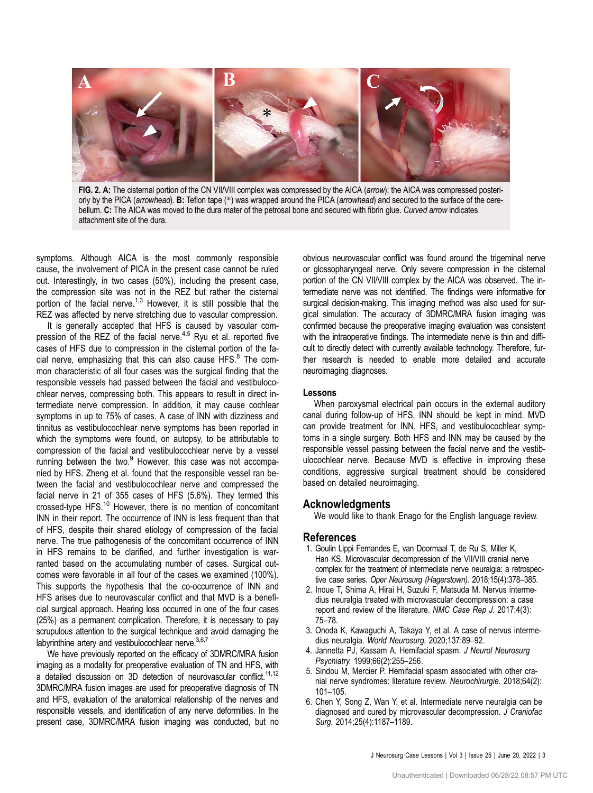<span id="page-2-0"></span>

FIG. 2. A: The cisternal portion of the CN VII/VIII complex was compressed by the AICA (arrow); the AICA was compressed posteriorly by the PICA (arrowhead). B: Teflon tape (\*) was wrapped around the PICA (arrowhead) and secured to the surface of the cerebellum. C: The AICA was moved to the dura mater of the petrosal bone and secured with fibrin glue. Curved arrow indicates attachment site of the dura.

symptoms. Although AICA is the most commonly responsible cause, the involvement of PICA in the present case cannot be ruled out. Interestingly, in two cases (50%), including the present case, the compression site was not in the REZ but rather the cisternal portion of the facial nerve.<sup>1,3</sup> However, it is still possible that the REZ was affected by nerve stretching due to vascular compression.

It is generally accepted that HFS is caused by vascular compression of the REZ of the facial nerve.<sup>4,5</sup> Ryu et al. reported five cases of HFS due to compression in the cisternal portion of the facial nerve, emphasizing that this can also cause  $HFS$ <sup>[8](#page-3-0)</sup>. The common characteristic of all four cases was the surgical finding that the responsible vessels had passed between the facial and vestibulocochlear nerves, compressing both. This appears to result in direct intermediate nerve compression. In addition, it may cause cochlear symptoms in up to 75% of cases. A case of INN with dizziness and tinnitus as vestibulocochlear nerve symptoms has been reported in which the symptoms were found, on autopsy, to be attributable to compression of the facial and vestibulocochlear nerve by a vessel running between the two.<sup>[9](#page-3-0)</sup> However, this case was not accompanied by HFS. Zheng et al. found that the responsible vessel ran between the facial and vestibulocochlear nerve and compressed the facial nerve in 21 of 355 cases of HFS (5.6%). They termed this crossed-type HFS.[10](#page-3-0) However, there is no mention of concomitant INN in their report. The occurrence of INN is less frequent than that of HFS, despite their shared etiology of compression of the facial nerve. The true pathogenesis of the concomitant occurrence of INN in HFS remains to be clarified, and further investigation is warranted based on the accumulating number of cases. Surgical outcomes were favorable in all four of the cases we examined (100%). This supports the hypothesis that the co-occurrence of INN and HFS arises due to neurovascular conflict and that MVD is a beneficial surgical approach. Hearing loss occurred in one of the four cases (25%) as a permanent complication. Therefore, it is necessary to pay scrupulous attention to the surgical technique and avoid damaging the labyrinthine artery and vestibulocochlear nerve.  $3,6,7$  $3,6,7$ 

We have previously reported on the efficacy of 3DMRC/MRA fusion imaging as a modality for preoperative evaluation of TN and HFS, with a detailed discussion on 3D detection of neurovascular conflict.<sup>[11](#page-3-0),[12](#page-3-0)</sup> 3DMRC/MRA fusion images are used for preoperative diagnosis of TN and HFS, evaluation of the anatomical relationship of the nerves and responsible vessels, and identification of any nerve deformities. In the present case, 3DMRC/MRA fusion imaging was conducted, but no obvious neurovascular conflict was found around the trigeminal nerve or glossopharyngeal nerve. Only severe compression in the cisternal portion of the CN VII/VIII complex by the AICA was observed. The intermediate nerve was not identified. The findings were informative for surgical decision-making. This imaging method was also used for surgical simulation. The accuracy of 3DMRC/MRA fusion imaging was confirmed because the preoperative imaging evaluation was consistent with the intraoperative findings. The intermediate nerve is thin and difficult to directly detect with currently available technology. Therefore, further research is needed to enable more detailed and accurate neuroimaging diagnoses.

#### Lessons

When paroxysmal electrical pain occurs in the external auditory canal during follow-up of HFS, INN should be kept in mind. MVD can provide treatment for INN, HFS, and vestibulocochlear symptoms in a single surgery. Both HFS and INN may be caused by the responsible vessel passing between the facial nerve and the vestibulocochlear nerve. Because MVD is effective in improving these conditions, aggressive surgical treatment should be considered based on detailed neuroimaging.

#### **Acknowledaments**

We would like to thank Enago for the English language review.

#### References

- 1. Goulin Lippi Fernandes E, van Doormaal T, de Ru S, Miller K, Han KS. Microvascular decompression of the VII/VIII cranial nerve complex for the treatment of intermediate nerve neuralgia: a retrospective case series. Oper Neurosurg (Hagerstown). 2018;15(4):378–385.
- 2. Inoue T, Shima A, Hirai H, Suzuki F, Matsuda M. Nervus intermedius neuralgia treated with microvascular decompression: a case report and review of the literature. NMC Case Rep J. 2017;4(3): 75–78.
- 3. Onoda K, Kawaguchi A, Takaya Y, et al. A case of nervus intermedius neuralgia. World Neurosurg. 2020;137:89–92.
- 4. Jannetta PJ, Kassam A. Hemifacial spasm. J Neurol Neurosurg Psychiatry. 1999;66(2):255–256.
- 5. Sindou M, Mercier P. Hemifacial spasm associated with other cranial nerve syndromes: literature review. Neurochirurgie. 2018;64(2): 101–105.
- 6. Chen Y, Song Z, Wan Y, et al. Intermediate nerve neuralgia can be diagnosed and cured by microvascular decompression. J Craniofac Surg. 2014;25(4):1187–1189.